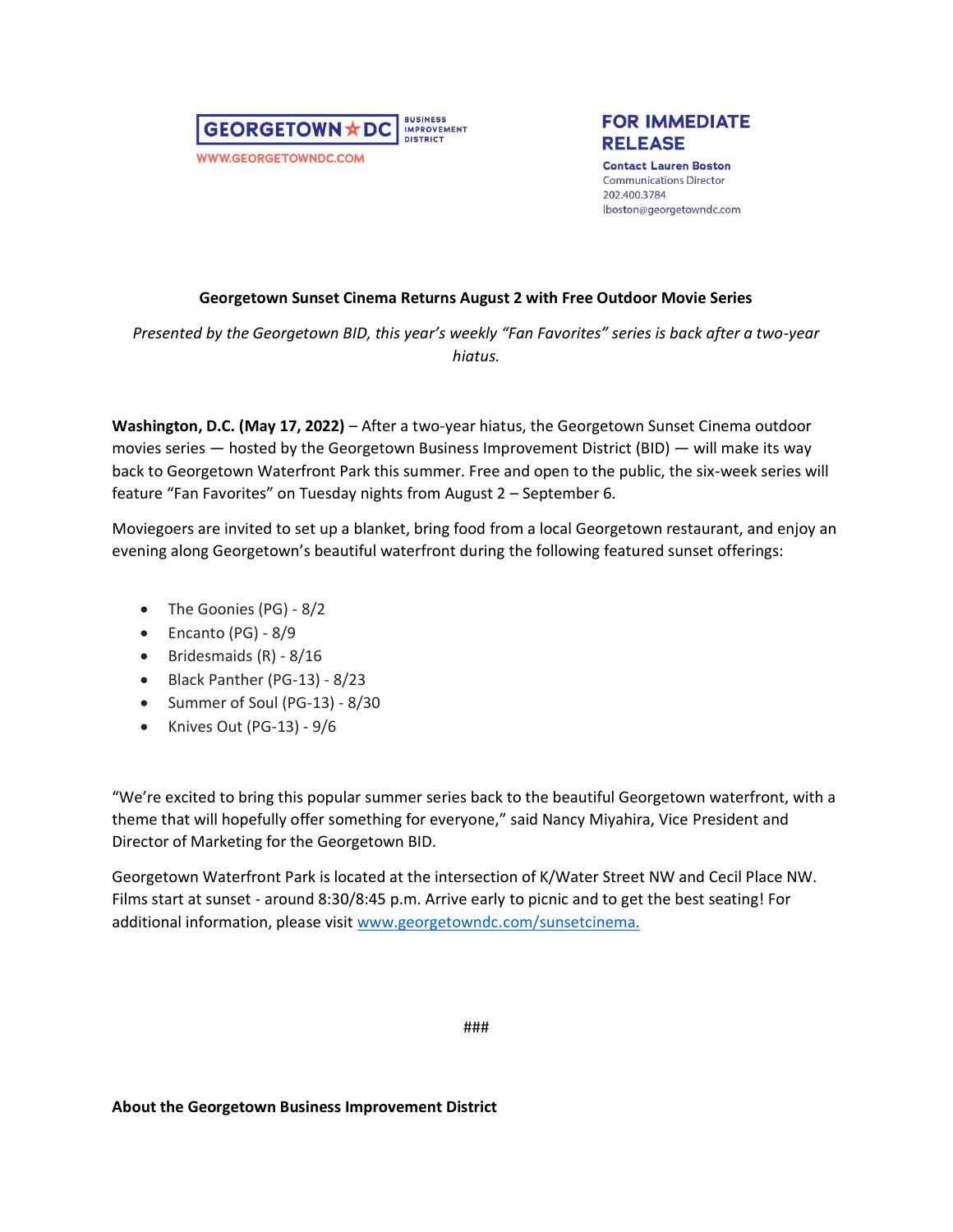



**Contact Lauren Boston Communications Director** 202.400.3784 lboston@georgetowndc.com

## **Georgetown Sunset Cinema Returns August 2 with Free Outdoor Movie Series**

*Presented by the Georgetown BID, this year's weekly "Fan Favorites" series is back after a two-year hiatus.* 

**Washington, D.C. (May 17, 2022)** – After a two-year hiatus, the Georgetown Sunset Cinema outdoor movies series — hosted by the Georgetown Business Improvement District (BID) — will make its way back to Georgetown Waterfront Park this summer. Free and open to the public, the six-week series will feature "Fan Favorites" on Tuesday nights from August 2 – September 6.

Moviegoers are invited to set up a blanket, bring food from a local Georgetown restaurant, and enjoy an evening along Georgetown's beautiful waterfront during the following featured sunset offerings:

- The Goonies (PG) 8/2
- Encanto (PG) 8/9
- Bridesmaids (R) 8/16
- Black Panther (PG-13) 8/23
- Summer of Soul (PG-13) 8/30
- Knives Out (PG-13) 9/6

"We're excited to bring this popular summer series back to the beautiful Georgetown waterfront, with a theme that will hopefully offer something for everyone," said Nancy Miyahira, Vice President and Director of Marketing for the Georgetown BID.

Georgetown Waterfront Park is located at the intersection of K/Water Street NW and Cecil Place NW. Films start at sunset - around 8:30/8:45 p.m. Arrive early to picnic and to get the best seating! For additional information, please visit [www.georgetowndc.com/sunsetcinema.](http://www.georgetowndc.com/sunsetcinema)

###

## **About the Georgetown Business Improvement District**